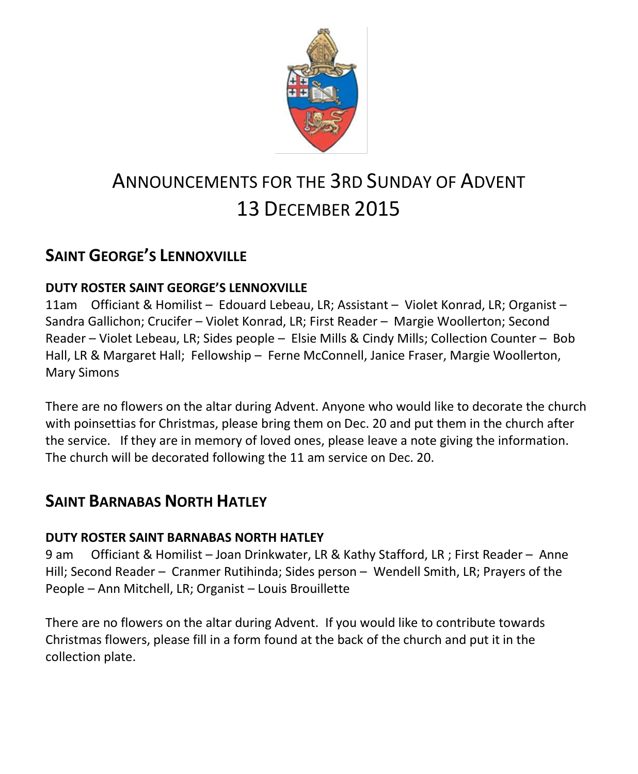

# ANNOUNCEMENTS FOR THE 3RD SUNDAY OF ADVENT 13 DECEMBER 2015

# **SAINT GEORGE'S LENNOXVILLE**

### **DUTY ROSTER SAINT GEORGE'S LENNOXVILLE**

11am Officiant & Homilist – Edouard Lebeau, LR; Assistant – Violet Konrad, LR; Organist – Sandra Gallichon; Crucifer – Violet Konrad, LR; First Reader – Margie Woollerton; Second Reader – Violet Lebeau, LR; Sides people – Elsie Mills & Cindy Mills; Collection Counter – Bob Hall, LR & Margaret Hall; Fellowship – Ferne McConnell, Janice Fraser, Margie Woollerton, Mary Simons

There are no flowers on the altar during Advent. Anyone who would like to decorate the church with poinsettias for Christmas, please bring them on Dec. 20 and put them in the church after the service. If they are in memory of loved ones, please leave a note giving the information. The church will be decorated following the 11 am service on Dec. 20.

# **SAINT BARNABAS NORTH HATLEY**

### **DUTY ROSTER SAINT BARNABAS NORTH HATLEY**

9 am Officiant & Homilist – Joan Drinkwater, LR & Kathy Stafford, LR ; First Reader – Anne Hill; Second Reader – Cranmer Rutihinda; Sides person – Wendell Smith, LR; Prayers of the People – Ann Mitchell, LR; Organist – Louis Brouillette

There are no flowers on the altar during Advent. If you would like to contribute towards Christmas flowers, please fill in a form found at the back of the church and put it in the collection plate.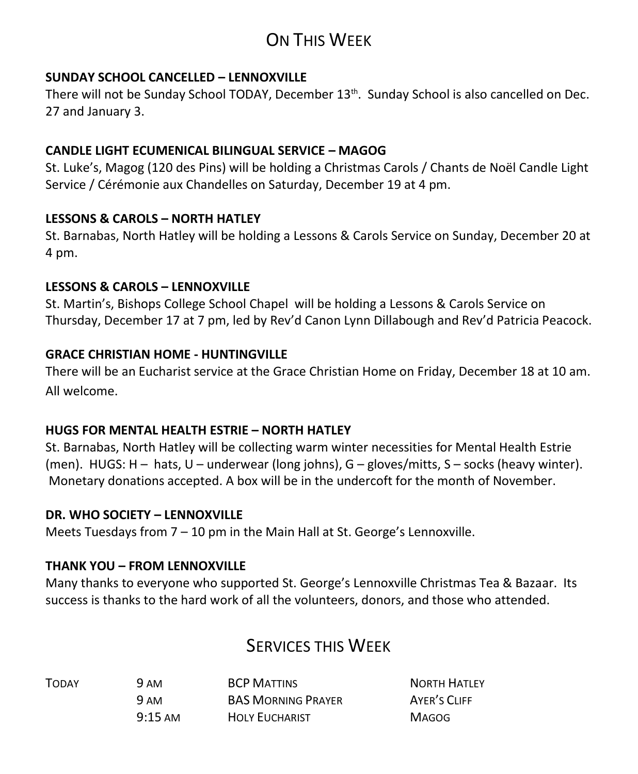# ON THIS WEEK

#### **SUNDAY SCHOOL CANCELLED – LENNOXVILLE**

There will not be Sunday School TODAY, December 13<sup>th</sup>. Sunday School is also cancelled on Dec. 27 and January 3.

#### **CANDLE LIGHT ECUMENICAL BILINGUAL SERVICE – MAGOG**

St. Luke's, Magog (120 des Pins) will be holding a Christmas Carols / Chants de Noël Candle Light Service / Cérémonie aux Chandelles on Saturday, December 19 at 4 pm.

#### **LESSONS & CAROLS – NORTH HATLEY**

St. Barnabas, North Hatley will be holding a Lessons & Carols Service on Sunday, December 20 at 4 pm.

#### **LESSONS & CAROLS – LENNOXVILLE**

St. Martin's, Bishops College School Chapel will be holding a Lessons & Carols Service on Thursday, December 17 at 7 pm, led by Rev'd Canon Lynn Dillabough and Rev'd Patricia Peacock.

#### **GRACE CHRISTIAN HOME - HUNTINGVILLE**

There will be an Eucharist service at the Grace Christian Home on Friday, December 18 at 10 am. All welcome.

#### **HUGS FOR MENTAL HEALTH ESTRIE – NORTH HATLEY**

St. Barnabas, North Hatley will be collecting warm winter necessities for Mental Health Estrie (men). HUGS: H – hats, U – underwear (long johns), G – gloves/mitts, S – socks (heavy winter). Monetary donations accepted. A box will be in the undercoft for the month of November.

#### **DR. WHO SOCIETY – LENNOXVILLE**

Meets Tuesdays from 7 – 10 pm in the Main Hall at St. George's Lennoxville.

#### **THANK YOU – FROM LENNOXVILLE**

Many thanks to everyone who supported St. George's Lennoxville Christmas Tea & Bazaar. Its success is thanks to the hard work of all the volunteers, donors, and those who attended.

## SERVICES THIS WEEK

| <b>TODAY</b> | 9 AM              | <b>BCP MATTINS</b>        | <b>NORTH HATLEY</b> |
|--------------|-------------------|---------------------------|---------------------|
|              | 9 AM              | <b>BAS MORNING PRAYER</b> | AYER'S CLIFF        |
|              | $9:15 \text{ AM}$ | <b>HOLY EUCHARIST</b>     | <b>MAGOG</b>        |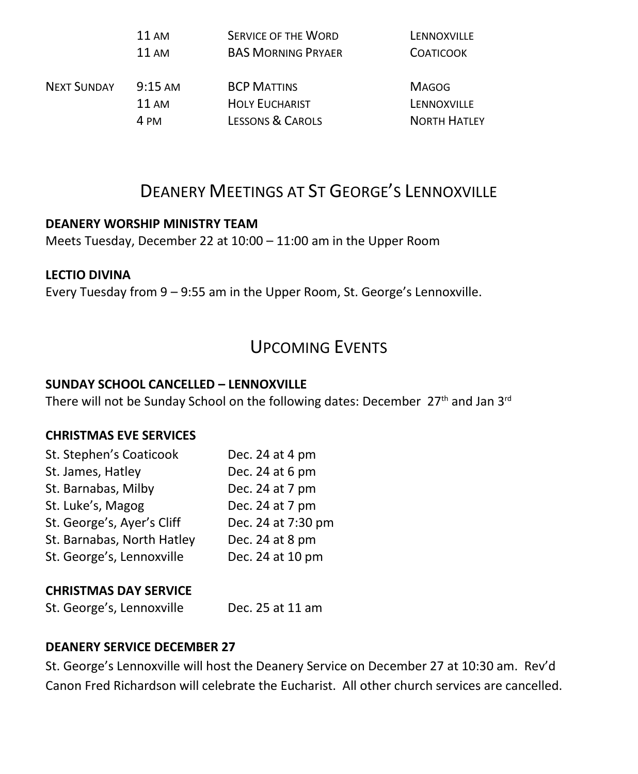|                    | 11 AM             | <b>SERVICE OF THE WORD</b> | LENNOXVILLE         |
|--------------------|-------------------|----------------------------|---------------------|
|                    | 11AM              | <b>BAS MORNING PRYAER</b>  | <b>COATICOOK</b>    |
| <b>NEXT SUNDAY</b> | $9:15 \text{ AM}$ | <b>BCP MATTINS</b>         | <b>MAGOG</b>        |
|                    | 11AM              | <b>HOLY EUCHARIST</b>      | LENNOXVILLE         |
|                    | 4 PM              | LESSONS & CAROLS           | <b>NORTH HATLEY</b> |

# DEANERY MEETINGS AT ST GEORGE'S LENNOXVILLE

#### **DEANERY WORSHIP MINISTRY TEAM**

Meets Tuesday, December 22 at 10:00 – 11:00 am in the Upper Room

#### **LECTIO DIVINA**

Every Tuesday from 9 – 9:55 am in the Upper Room, St. George's Lennoxville.

## UPCOMING EVENTS

#### **SUNDAY SCHOOL CANCELLED – LENNOXVILLE**

There will not be Sunday School on the following dates: December 27<sup>th</sup> and Jan 3<sup>rd</sup>

#### **CHRISTMAS EVE SERVICES**

| St. Stephen's Coaticook    | Dec. 24 at 4 pm    |
|----------------------------|--------------------|
| St. James, Hatley          | Dec. 24 at 6 pm    |
| St. Barnabas, Milby        | Dec. 24 at 7 pm    |
| St. Luke's, Magog          | Dec. 24 at 7 pm    |
| St. George's, Ayer's Cliff | Dec. 24 at 7:30 pm |
| St. Barnabas, North Hatley | Dec. 24 at 8 pm    |
| St. George's, Lennoxville  | Dec. 24 at 10 pm   |

#### **CHRISTMAS DAY SERVICE**

St. George's, Lennoxville Dec. 25 at 11 am

#### **DEANERY SERVICE DECEMBER 27**

St. George's Lennoxville will host the Deanery Service on December 27 at 10:30 am. Rev'd Canon Fred Richardson will celebrate the Eucharist. All other church services are cancelled.